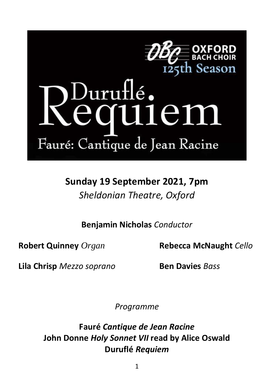

## )uru<del>l</del>lé **.** 11e1 IU Fauré: Cantique de Jean Racine

**Sunday 19 September 2021, 7pm** *Sheldonian Theatre, Oxford*

**Benjamin Nicholas** *Conductor*

**Robert Quinney** *Organ* **Rebecca McNaught** *Cello*

**Lila Chrisp** *Mezzo soprano* **Ben Davies** *Bass*

*Programme*

**Fauré** *Cantique de Jean Racine* **John Donne** *Holy Sonnet VII* **read by Alice Oswald Duruflé** *Requiem*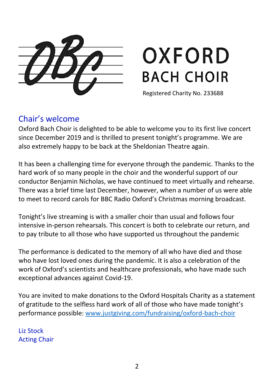# OXFORD **BACH CHOIR**

Registered Charity No. 233688

### Chair's welcome

Oxford Bach Choir is delighted to be able to welcome you to its first live concert since December 2019 and is thrilled to present tonight's programme. We are also extremely happy to be back at the Sheldonian Theatre again.

It has been a challenging time for everyone through the pandemic. Thanks to the hard work of so many people in the choir and the wonderful support of our conductor Benjamin Nicholas, we have continued to meet virtually and rehearse. There was a brief time last December, however, when a number of us were able to meet to record carols for BBC Radio Oxford's Christmas morning broadcast.

Tonight's live streaming is with a smaller choir than usual and follows four intensive in-person rehearsals. This concert is both to celebrate our return, and to pay tribute to all those who have supported us throughout the pandemic

The performance is dedicated to the memory of all who have died and those who have lost loved ones during the pandemic. It is also a celebration of the work of Oxford's scientists and healthcare professionals, who have made such exceptional advances against Covid-19.

You are invited to make donations to the Oxford Hospitals Charity as a statement of gratitude to the selfless hard work of all of those who have made tonight's performance possible: [www.justgiving.com/fundraising/oxford-bach-choir](file:///C:/Users/Philippa%20Logan/Documents/Philippa/Bach%20Choir/Programme%20information/Previous%20programmes/2021_1%20Durufle/www.justgiving.com/fundraising/oxford-bach-choir)

Liz Stock Acting Chair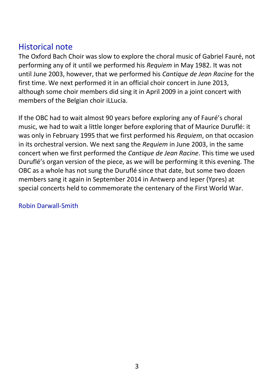### Historical note

The Oxford Bach Choir was slow to explore the choral music of Gabriel Fauré, not performing any of it until we performed his *Requiem* in May 1982. It was not until June 2003, however, that we performed his *Cantique de Jean Racine* for the first time. We next performed it in an official choir concert in June 2013, although some choir members did sing it in April 2009 in a joint concert with members of the Belgian choir iLLucia.

If the OBC had to wait almost 90 years before exploring any of Fauré's choral music, we had to wait a little longer before exploring that of Maurice Duruflé: it was only in February 1995 that we first performed his *Requiem*, on that occasion in its orchestral version. We next sang the *Requiem* in June 2003, in the same concert when we first performed the *Cantique de Jean Racine*. This time we used Duruflé's organ version of the piece, as we will be performing it this evening. The OBC as a whole has not sung the Duruflé since that date, but some two dozen members sang it again in September 2014 in Antwerp and Ieper (Ypres) at special concerts held to commemorate the centenary of the First World War.

#### Robin Darwall-Smith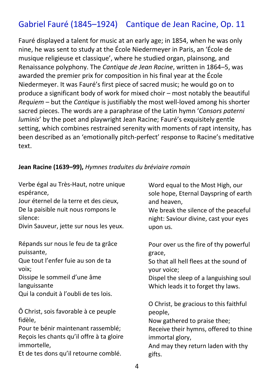## Gabriel Fauré (1845–1924) Cantique de Jean Racine, Op. 11

Fauré displayed a talent for music at an early age; in 1854, when he was only nine, he was sent to study at the École Niedermeyer in Paris, an 'École de musique religieuse et classique', where he studied organ, plainsong, and Renaissance polyphony. The *Cantique de Jean Racine*, written in 1864–5, was awarded the premier prix for composition in his final year at the École Niedermeyer. It was Fauré's first piece of sacred music; he would go on to produce a significant body of work for mixed choir – most notably the beautiful *Requiem* – but the *Cantique* is justifiably the most well-loved among his shorter sacred pieces. The words are a paraphrase of the Latin hymn '*Consors paterni luminis*' by the poet and playwright Jean Racine; Fauré's exquisitely gentle setting, which combines restrained serenity with moments of rapt intensity, has been described as an 'emotionally pitch-perfect' response to Racine's meditative text.

#### **Jean Racine (1639–99),** *Hymnes traduites du bréviaire romain*

Verbe égal au Très-Haut, notre unique espérance,

Jour éternel de la terre et des cieux, De la paisible nuit nous rompons le silence:

Divin Sauveur, jette sur nous les yeux.

Répands sur nous le feu de ta grâce puissante,

Que tout l'enfer fuie au son de ta voix;

Dissipe le sommeil d'une âme languissante

Qui la conduit à l'oubli de tes lois.

Ô Christ, sois favorable à ce peuple fidèle,

Pour te bénir maintenant rassemblé; Reçois les chants qu'il offre à ta gloire immortelle,

Et de tes dons qu'il retourne comblé.

Word equal to the Most High, our sole hope, Eternal Dayspring of earth and heaven,

We break the silence of the peaceful night: Saviour divine, cast your eyes upon us.

Pour over us the fire of thy powerful grace,

So that all hell flees at the sound of your voice;

Dispel the sleep of a languishing soul Which leads it to forget thy laws.

O Christ, be gracious to this faithful people, Now gathered to praise thee; Receive their hymns, offered to thine immortal glory, And may they return laden with thy gifts.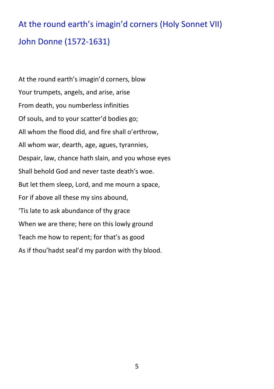## At the round earth's imagin'd corners (Holy Sonnet VII) John Donne (1572-1631)

At the round earth's imagin'd corners, blow Your trumpets, angels, and arise, arise From death, you numberless infinities Of souls, and to your scatter'd bodies go; All whom the flood did, and fire shall o'erthrow, All whom war, dearth, age, agues, tyrannies, Despair, law, chance hath slain, and you whose eyes Shall behold God and never taste death's woe. But let them sleep, Lord, and me mourn a space, For if above all these my sins abound, 'Tis late to ask abundance of thy grace When we are there; here on this lowly ground Teach me how to repent; for that's as good As if thou'hadst seal'd my pardon with thy blood.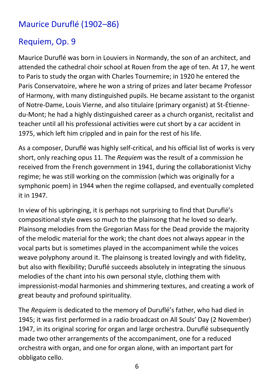## Maurice Duruflé (1902–86)

## Requiem, Op. 9

Maurice Duruflé was born in Louviers in Normandy, the son of an architect, and attended the cathedral choir school at Rouen from the age of ten. At 17, he went to Paris to study the organ with Charles Tournemire; in 1920 he entered the Paris Conservatoire, where he won a string of prizes and later became Professor of Harmony, with many distinguished pupils. He became assistant to the organist of Notre-Dame, Louis Vierne, and also titulaire (primary organist) at St-Étiennedu-Mont; he had a highly distinguished career as a church organist, recitalist and teacher until all his professional activities were cut short by a car accident in 1975, which left him crippled and in pain for the rest of his life.

As a composer, Duruflé was highly self-critical, and his official list of works is very short, only reaching opus 11. The *Requiem* was the result of a commission he received from the French government in 1941, during the collaborationist Vichy regime; he was still working on the commission (which was originally for a symphonic poem) in 1944 when the regime collapsed, and eventually completed it in 1947.

In view of his upbringing, it is perhaps not surprising to find that Duruflé's compositional style owes so much to the plainsong that he loved so dearly. Plainsong melodies from the Gregorian Mass for the Dead provide the majority of the melodic material for the work; the chant does not always appear in the vocal parts but is sometimes played in the accompaniment while the voices weave polyphony around it. The plainsong is treated lovingly and with fidelity, but also with flexibility; Duruflé succeeds absolutely in integrating the sinuous melodies of the chant into his own personal style, clothing them with impressionist-modal harmonies and shimmering textures, and creating a work of great beauty and profound spirituality.

The *Requiem* is dedicated to the memory of Duruflé's father, who had died in 1945; it was first performed in a radio broadcast on All Souls' Day (2 November) 1947, in its original scoring for organ and large orchestra. Duruflé subsequently made two other arrangements of the accompaniment, one for a reduced orchestra with organ, and one for organ alone, with an important part for obbligato cello.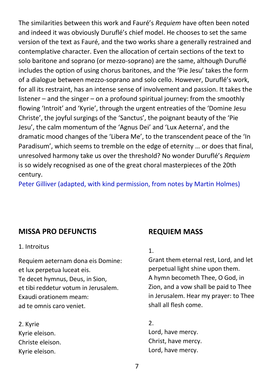The similarities between this work and Fauré's *Requiem* have often been noted and indeed it was obviously Duruflé's chief model. He chooses to set the same version of the text as Fauré, and the two works share a generally restrained and contemplative character. Even the allocation of certain sections of the text to solo baritone and soprano (or mezzo-soprano) are the same, although Duruflé includes the option of using chorus baritones, and the 'Pie Jesu' takes the form of a dialogue between mezzo-soprano and solo cello. However, Duruflé's work, for all its restraint, has an intense sense of involvement and passion. It takes the listener – and the singer – on a profound spiritual journey: from the smoothly flowing 'Introit' and 'Kyrie', through the urgent entreaties of the 'Domine Jesu Christe', the joyful surgings of the 'Sanctus', the poignant beauty of the 'Pie Jesu', the calm momentum of the 'Agnus Dei' and 'Lux Aeterna', and the dramatic mood changes of the 'Libera Me', to the transcendent peace of the 'In Paradisum', which seems to tremble on the edge of eternity … or does that final, unresolved harmony take us over the threshold? No wonder Duruflé's *Requiem* is so widely recognised as one of the great choral masterpieces of the 20th century.

Peter Gilliver (adapted, with kind permission, from notes by Martin Holmes)

#### **MISSA PRO DEFUNCTIS**

1. Introitus

Requiem aeternam dona eis Domine: et lux perpetua luceat eis. Te decet hymnus, Deus, in Sion, et tibi reddetur votum in Jerusalem. Exaudi orationem meam: ad te omnis caro veniet.

2. Kyrie Kyrie eleison. Christe eleison. Kyrie eleison.

#### **REQUIEM MASS**

#### 1.

Grant them eternal rest, Lord, and let perpetual light shine upon them. A hymn becometh Thee, O God, in Zion, and a vow shall be paid to Thee in Jerusalem. Hear my prayer: to Thee shall all flesh come.

2.

Lord, have mercy. Christ, have mercy. Lord, have mercy.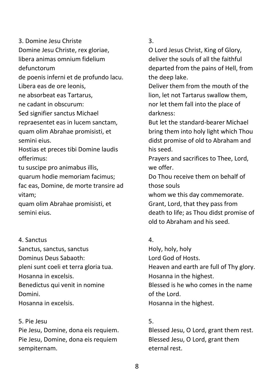3. Domine Jesu Christe Domine Jesu Christe, rex gloriae, libera animas omnium fidelium defunctorum de poenis inferni et de profundo lacu. Libera eas de ore leonis, ne absorbeat eas Tartarus, ne cadant in obscurum: Sed signifier sanctus Michael repraesentet eas in lucem sanctam, quam olim Abrahae promisisti, et semini eius. Hostias et preces tibi Domine laudis offerimus:

tu suscipe pro animabus illis, quarum hodie memoriam facimus; fac eas, Domine, de morte transire ad vitam;

quam olim Abrahae promisisti, et semini eius.

#### 4. Sanctus

Sanctus, sanctus, sanctus Dominus Deus Sabaoth: pleni sunt coeli et terra gloria tua. Hosanna in excelsis. Benedictus qui venit in nomine Domini. Hosanna in excelsis.

#### 5. Pie Jesu

Pie Jesu, Domine, dona eis requiem. Pie Jesu, Domine, dona eis requiem sempiternam.

#### 3.

O Lord Jesus Christ, King of Glory, deliver the souls of all the faithful departed from the pains of Hell, from the deep lake.

Deliver them from the mouth of the lion, let not Tartarus swallow them, nor let them fall into the place of darkness:

But let the standard-bearer Michael bring them into holy light which Thou didst promise of old to Abraham and his seed.

Prayers and sacrifices to Thee, Lord, we offer.

Do Thou receive them on behalf of those souls

whom we this day commemorate. Grant, Lord, that they pass from death to life; as Thou didst promise of old to Abraham and his seed.

#### 4.

Holy, holy, holy Lord God of Hosts. Heaven and earth are full of Thy glory. Hosanna in the highest. Blessed is he who comes in the name of the Lord. Hosanna in the highest.

#### 5.

Blessed Jesu, O Lord, grant them rest. Blessed Jesu, O Lord, grant them eternal rest.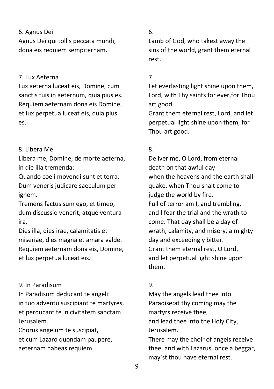#### 6. Agnus Dei

Agnus Dei qui tollis peccata mundi, dona eis requiem sempiternam.

#### 7. Lux Aeterna

Lux aeterna luceat eis, Domine, cum sanctis tuis in aeternum, quia pius es. Requiem aeternam dona eis Domine, et lux perpetua luceat eis, quia pius es.

#### 8. Libera Me

Libera me, Domine, de morte aeterna, in die illa tremenda:

Quando coeli movendi sunt et terra: Dum veneris judicare saeculum per ignem.

Tremens factus sum ego, et timeo, dum discussio venerit, atque ventura ira.

Dies illa, dies irae, calamitatis et miseriae, dies magna et amara valde. Requiem aeternam dona eis, Domine, et lux perpetua luceat eis.

#### 9. In Paradisum

In Paradisum deducant te angeli: in tuo adventu suscipiant te martyres, et perducant te in civitatem sanctam Jerusalem.

Chorus angelum te suscipiat, et cum Lazaro quondam paupere, aeternam habeas requiem.

#### 6.

Lamb of God, who takest away the sins of the world, grant them eternal rest.

#### 7.

Let everlasting light shine upon them, Lord, with Thy saints for ever,for Thou art good.

Grant them eternal rest, Lord, and let perpetual light shine upon them, for Thou art good.

#### 8.

Deliver me, O Lord, from eternal death on that awful day when the heavens and the earth shall quake, when Thou shalt come to judge the world by fire. Full of terror am I, and trembling, and I fear the trial and the wrath to come. That day shall be a day of wrath, calamity, and misery, a mighty day and exceedingly bitter. Grant them eternal rest, O Lord, and let perpetual light shine upon them.

#### 9.

May the angels lead thee into Paradise:at thy coming may the martyrs receive thee, and lead thee into the Holy City, Jerusalem.

There may the choir of angels receive thee, and with Lazarus, once a beggar, may'st thou have eternal rest.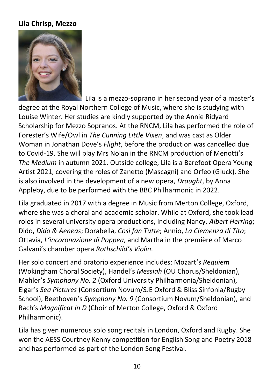#### **Lila Chrisp, Mezzo**



Lila is a mezzo-soprano in her second year of a master's degree at the Royal Northern College of Music, where she is studying with Louise Winter. Her studies are kindly supported by the Annie Ridyard Scholarship for Mezzo Sopranos. At the RNCM, Lila has performed the role of Forester's Wife/Owl in *The Cunning Little Vixen*, and was cast as Older Woman in Jonathan Dove's *Flight*, before the production was cancelled due to Covid-19. She will play Mrs Nolan in the RNCM production of Menotti's *The Medium* in autumn 2021. Outside college, Lila is a Barefoot Opera Young Artist 2021, covering the roles of Zanetto (Mascagni) and Orfeo (Gluck). She is also involved in the development of a new opera, *Draught*, by Anna Appleby, due to be performed with the BBC Philharmonic in 2022.

Lila graduated in 2017 with a degree in Music from Merton College, Oxford, where she was a choral and academic scholar. While at Oxford, she took lead roles in several university opera productions, including Nancy, *Albert Herring*; Dido, *Dido & Aeneas*; Dorabella, *Cosi fan Tutte*; Annio, *La Clemenza di Tito*; Ottavia, *L'incoronazione di Poppea*, and Martha in the première of Marco Galvani's chamber opera *Rothschild's Violin*.

Her solo concert and oratorio experience includes: Mozart's *Requiem*  (Wokingham Choral Society), Handel's *Messiah* (OU Chorus/Sheldonian), Mahler's *Symphony No. 2* (Oxford University Philharmonia/Sheldonian), Elgar's *Sea Pictures* (Consortium Novum/SJE Oxford & Bliss Sinfonia/Rugby School), Beethoven's *Symphony No. 9* (Consortium Novum/Sheldonian), and Bach's *Magnificat in D* (Choir of Merton College, Oxford & Oxford Philharmonic).

Lila has given numerous solo song recitals in London, Oxford and Rugby. She won the AESS Courtney Kenny competition for English Song and Poetry 2018 and has performed as part of the London Song Festival.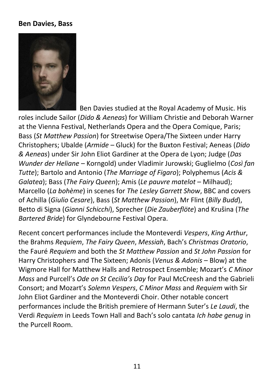#### **Ben Davies, Bass**



 Ben Davies studied at the Royal Academy of Music. His roles include Sailor (*Dido & Aeneas*) for William Christie and Deborah Warner at the Vienna Festival, Netherlands Opera and the Opera Comique, Paris; Bass (*St Matthew Passion*) for Streetwise Opera/The Sixteen under Harry Christophers; Ubalde (*Armide* – Gluck) for the Buxton Festival; Aeneas (*Dido & Aeneas*) under Sir John Eliot Gardiner at the Opera de Lyon; Judge (*Das Wunder der Heliane* – Korngold) under Vladimir Jurowski; Guglielmo (*Così fan Tutte*); Bartolo and Antonio (*The Marriage of Figaro*); Polyphemus (*Acis & Galatea*); Bass (*The Fairy Queen*); Amis (*Le pauvre matelot* – Milhaud); Marcello (*La bohème*) in scenes for *The Lesley Garrett Show*, BBC and covers of Achilla (*Giulio Cesare*), Bass (*St Matthew Passion*), Mr Flint (*Billy Budd*), Betto di Signa (*Gianni Schicchi*), Sprecher (*Die Zauberflöte*) and Krušina (*The Bartered Bride*) for Glyndebourne Festival Opera.

Recent concert performances include the Monteverdi *Vespers*, *King Arthur*, the Brahms *Requiem*, *The Fairy Queen*, *Messiah*, Bach's *Christmas Oratorio*, the Fauré *Requiem* and both the *St Matthew Passion* and *St John Passion* for Harry Christophers and The Sixteen; Adonis (*Venus & Adonis* – Blow) at the Wigmore Hall for Matthew Halls and Retrospect Ensemble; Mozart's *C Minor Mass* and Purcell's *Ode on St Cecilia's Day* for Paul McCreesh and the Gabrieli Consort; and Mozart's *Solemn Vespers*, *C Minor Mass* and *Requiem* with Sir John Eliot Gardiner and the Monteverdi Choir. Other notable concert performances include the British premiere of Hermann Suter's *Le Laudi*, the Verdi *Requiem* in Leeds Town Hall and Bach's solo cantata *Ich habe genug* in the Purcell Room.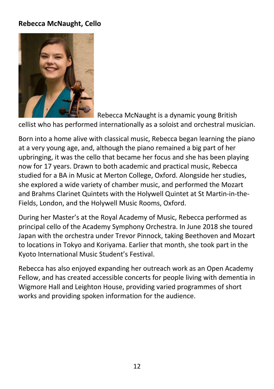#### **Rebecca McNaught, Cello**



Rebecca McNaught is a dynamic young British

cellist who has performed internationally as a soloist and orchestral musician.

Born into a home alive with classical music, Rebecca began learning the piano at a very young age, and, although the piano remained a big part of her upbringing, it was the cello that became her focus and she has been playing now for 17 years. Drawn to both academic and practical music, Rebecca studied for a BA in Music at Merton College, Oxford. Alongside her studies, she explored a wide variety of chamber music, and performed the Mozart and Brahms Clarinet Quintets with the Holywell Quintet at St Martin-in-the-Fields, London, and the Holywell Music Rooms, Oxford.

During her Master's at the Royal Academy of Music, Rebecca performed as principal cello of the Academy Symphony Orchestra. In June 2018 she toured Japan with the orchestra under Trevor Pinnock, taking Beethoven and Mozart to locations in Tokyo and Koriyama. Earlier that month, she took part in the Kyoto International Music Student's Festival.

Rebecca has also enjoyed expanding her outreach work as an Open Academy Fellow, and has created accessible concerts for people living with dementia in Wigmore Hall and Leighton House, providing varied programmes of short works and providing spoken information for the audience.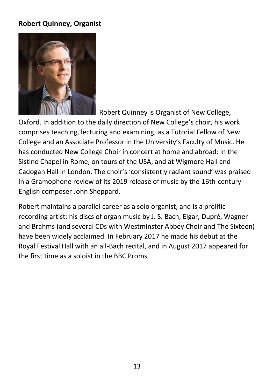#### **Robert Quinney, Organist**



Robert Quinney is Organist of New College,

Oxford. In addition to the daily direction of New College's choir, his work comprises teaching, lecturing and examining, as a Tutorial Fellow of New College and an Associate Professor in the University's Faculty of Music. He has conducted New College Choir in concert at home and abroad: in the Sistine Chapel in Rome, on tours of the USA, and at Wigmore Hall and Cadogan Hall in London. The choir's 'consistently radiant sound' was praised in a Gramophone review of its 2019 release of music by the 16th-century English composer John Sheppard.

Robert maintains a parallel career as a solo organist, and is a prolific recording artist: his discs of organ music by J. S. Bach, Elgar, Dupré, Wagner and Brahms (and several CDs with Westminster Abbey Choir and The Sixteen) have been widely acclaimed. In February 2017 he made his debut at the Royal Festival Hall with an all-Bach recital, and in August 2017 appeared for the first time as a soloist in the BBC Proms.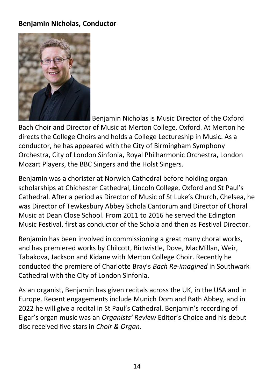#### **Benjamin Nicholas, Conductor**



Benjamin Nicholas is Music Director of the Oxford

Bach Choir and Director of Music at Merton College, Oxford. At Merton he directs the College Choirs and holds a College Lectureship in Music. As a conductor, he has appeared with the City of Birmingham Symphony Orchestra, City of London Sinfonia, Royal Philharmonic Orchestra, London Mozart Players, the BBC Singers and the Holst Singers.

Benjamin was a chorister at Norwich Cathedral before holding organ scholarships at Chichester Cathedral, Lincoln College, Oxford and St Paul's Cathedral. After a period as Director of Music of St Luke's Church, Chelsea, he was Director of Tewkesbury Abbey Schola Cantorum and Director of Choral Music at Dean Close School. From 2011 to 2016 he served the Edington Music Festival, first as conductor of the Schola and then as Festival Director.

Benjamin has been involved in commissioning a great many choral works, and has premiered works by Chilcott, Birtwistle, Dove, MacMillan, Weir, Tabakova, Jackson and Kidane with Merton College Choir. Recently he conducted the premiere of Charlotte Bray's *Bach Re-imagined* in Southwark Cathedral with the City of London Sinfonia.

As an organist, Benjamin has given recitals across the UK, in the USA and in Europe. Recent engagements include Munich Dom and Bath Abbey, and in 2022 he will give a recital in St Paul's Cathedral. Benjamin's recording of Elgar's organ music was an *Organists' Review* Editor's Choice and his debut disc received five stars in *Choir & Organ*.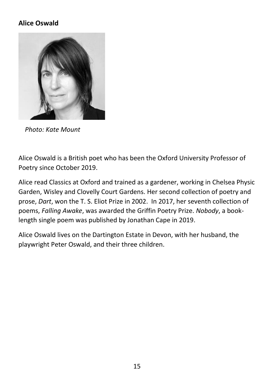#### **Alice Oswald**



*Photo: Kate Mount*

Alice Oswald is a British poet who has been the Oxford University Professor of Poetry since October 2019.

Alice read Classics at Oxford and trained as a gardener, working in Chelsea Physic Garden, Wisley and Clovelly Court Gardens. Her second collection of poetry and prose, *Dart*, won the T. S. Eliot Prize in 2002. In 2017, her seventh collection of poems, *Falling Awake*, was awarded the Griffin Poetry Prize. *Nobody*, a booklength single poem was published by Jonathan Cape in 2019.

Alice Oswald lives on the Dartington Estate in Devon, with her husband, the playwright Peter Oswald, and their three children.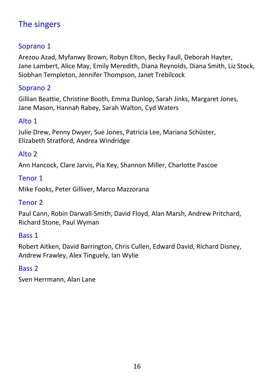## The singers

#### Soprano 1

Arezou Azad, Myfanwy Brown, Robyn Elton, Becky Faull, Deborah Hayter, Jane Lambert, Alice May, Emily Meredith, Diana Reynolds, Diana Smith, Liz Stock, Siobhan Templeton, Jennifer Thompson, Janet Trebilcock

#### Soprano 2

Gillian Beattie, Christine Booth, Emma Dunlop, Sarah Jinks, Margaret Jones, Jane Mason, Hannah Rabey, Sarah Walton, Cyd Waters

#### Alto 1

Julie Drew, Penny Dwyer, Sue Jones, Patricia Lee, Mariana Schüster, Elizabeth Stratford, Andrea Windridge

#### Alto 2

Ann Hancock, Clare Jarvis, Pia Key, Shannon Miller, Charlotte Pascoe

#### Tenor 1

Mike Fooks, Peter Gilliver, Marco Mazzorana

#### Tenor 2

Paul Cann, Robin Darwall-Smith, David Floyd, Alan Marsh, Andrew Pritchard, Richard Stone, Paul Wyman

#### Bass 1

Robert Aitken, David Barrington, Chris Cullen, Edward David, Richard Disney, Andrew Frawley, Alex Tinguely, Ian Wylie

#### Bass 2

Sven Herrmann, Alan Lane